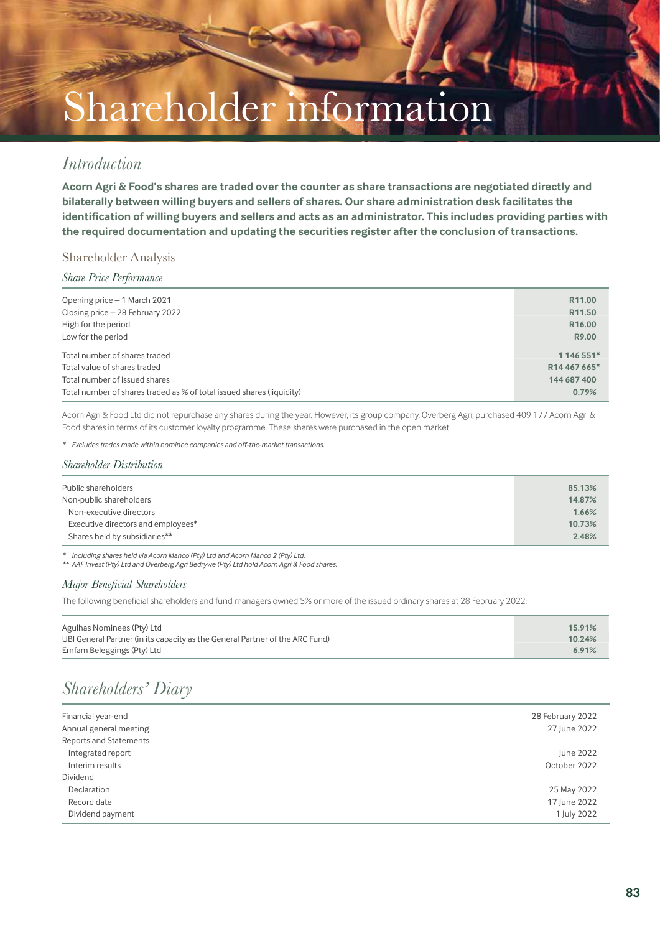# Shareholder information

### *Introduction*

**Acorn Agri & Food's shares are traded over the counter as share transactions are negotiated directly and bilaterally between willing buyers and sellers of shares. Our share administration desk facilitates the identification of willing buyers and sellers and acts as an administrator. This includes providing parties with the required documentation and updating the securities register after the conclusion of transactions.**

### Shareholder Analysis

### *Share Price Performance*

| Opening price - 1 March 2021                                          | R <sub>11.00</sub> |
|-----------------------------------------------------------------------|--------------------|
| Closing price - 28 February 2022                                      | R <sub>11.50</sub> |
| High for the period                                                   | R <sub>16.00</sub> |
| Low for the period                                                    | R9.00              |
| Total number of shares traded                                         | 1 146 551*         |
| Total value of shares traded                                          | R14 467 665*       |
| Total number of issued shares                                         | 144 687 400        |
| Total number of shares traded as % of total issued shares (liquidity) | 0.79%              |

Acorn Agri & Food Ltd did not repurchase any shares during the year. However, its group company, Overberg Agri, purchased 409 177 Acorn Agri & Food shares in terms of its customer loyalty programme. These shares were purchased in the open market.

*\* Excludes trades made within nominee companies and off-the-market transactions.*

#### *Shareholder Distribution*

| Public shareholders                | 85.13% |
|------------------------------------|--------|
| Non-public shareholders            | 14.87% |
| Non-executive directors            | 1.66%  |
| Executive directors and employees* | 10.73% |
| Shares held by subsidiaries**      | 2.48%  |

*\* Including shares held via Acorn Manco (Pty) Ltd and Acorn Manco 2 (Pty) Ltd. \*\* AAF Invest (Pty) Ltd and Overberg Agri Bedrywe (Pty) Ltd hold Acorn Agri & Food shares.*

### *Major Beneficial Shareholders*

The following beneficial shareholders and fund managers owned 5% or more of the issued ordinary shares at 28 February 2022:

| Agulhas Nominees (Pty) Ltd                                                   | 15.91% |
|------------------------------------------------------------------------------|--------|
| UBI General Partner (in its capacity as the General Partner of the ARC Fund) | 10.24% |
| Emfam Beleggings (Pty) Ltd                                                   | 6.91%  |

## *Shareholders' Diary*

| Financial year-end            | 28 February 2022 |
|-------------------------------|------------------|
| Annual general meeting        | 27 June 2022     |
| <b>Reports and Statements</b> |                  |
| Integrated report             | June 2022        |
| Interim results               | October 2022     |
| Dividend                      |                  |
| Declaration                   | 25 May 2022      |
| Record date                   | 17 June 2022     |
| Dividend payment              | 1 July 2022      |